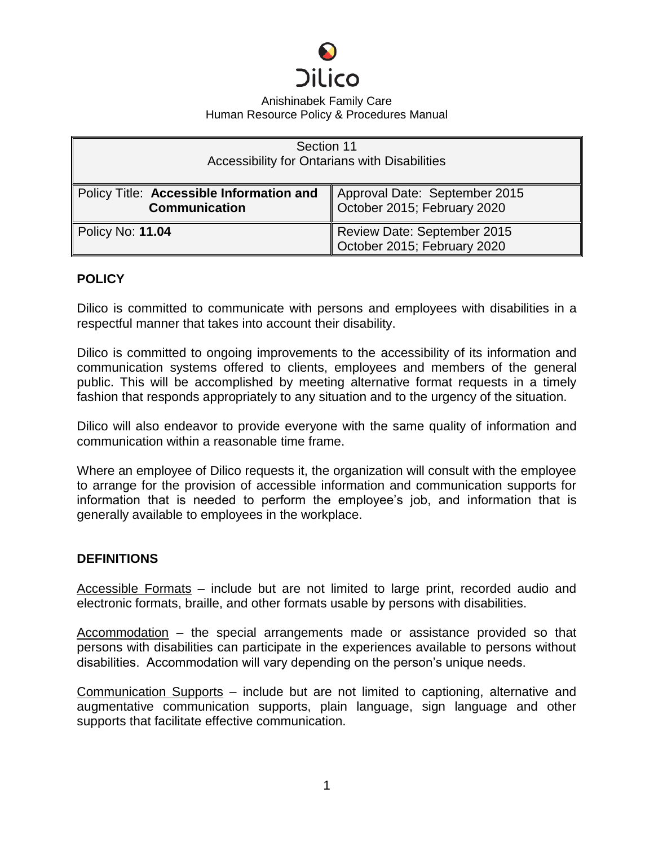

| Section 11<br>Accessibility for Ontarians with Disabilities      |                                                              |
|------------------------------------------------------------------|--------------------------------------------------------------|
| Policy Title: Accessible Information and<br><b>Communication</b> | Approval Date: September 2015<br>October 2015; February 2020 |
| <b>Policy No: 11.04</b>                                          | Review Date: September 2015<br>October 2015; February 2020   |

### **POLICY**

Dilico is committed to communicate with persons and employees with disabilities in a respectful manner that takes into account their disability.

Dilico is committed to ongoing improvements to the accessibility of its information and communication systems offered to clients, employees and members of the general public. This will be accomplished by meeting alternative format requests in a timely fashion that responds appropriately to any situation and to the urgency of the situation.

Dilico will also endeavor to provide everyone with the same quality of information and communication within a reasonable time frame.

Where an employee of Dilico requests it, the organization will consult with the employee to arrange for the provision of accessible information and communication supports for information that is needed to perform the employee's job, and information that is generally available to employees in the workplace.

#### **DEFINITIONS**

Accessible Formats – include but are not limited to large print, recorded audio and electronic formats, braille, and other formats usable by persons with disabilities.

Accommodation – the special arrangements made or assistance provided so that persons with disabilities can participate in the experiences available to persons without disabilities. Accommodation will vary depending on the person's unique needs.

Communication Supports – include but are not limited to captioning, alternative and augmentative communication supports, plain language, sign language and other supports that facilitate effective communication.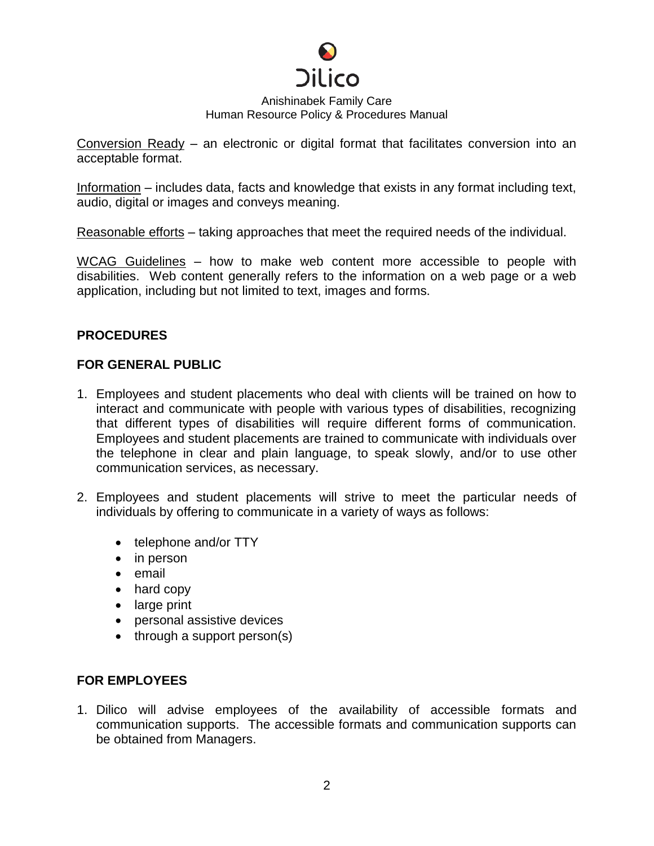

Conversion Ready – an electronic or digital format that facilitates conversion into an acceptable format.

Information – includes data, facts and knowledge that exists in any format including text, audio, digital or images and conveys meaning.

Reasonable efforts – taking approaches that meet the required needs of the individual.

WCAG Guidelines – how to make web content more accessible to people with disabilities. Web content generally refers to the information on a web page or a web application, including but not limited to text, images and forms.

## **PROCEDURES**

### **FOR GENERAL PUBLIC**

- 1. Employees and student placements who deal with clients will be trained on how to interact and communicate with people with various types of disabilities, recognizing that different types of disabilities will require different forms of communication. Employees and student placements are trained to communicate with individuals over the telephone in clear and plain language, to speak slowly, and/or to use other communication services, as necessary.
- 2. Employees and student placements will strive to meet the particular needs of individuals by offering to communicate in a variety of ways as follows:
	- telephone and/or TTY
	- in person
	- email
	- hard copy
	- large print
	- personal assistive devices
	- through a support person(s)

## **FOR EMPLOYEES**

1. Dilico will advise employees of the availability of accessible formats and communication supports. The accessible formats and communication supports can be obtained from Managers.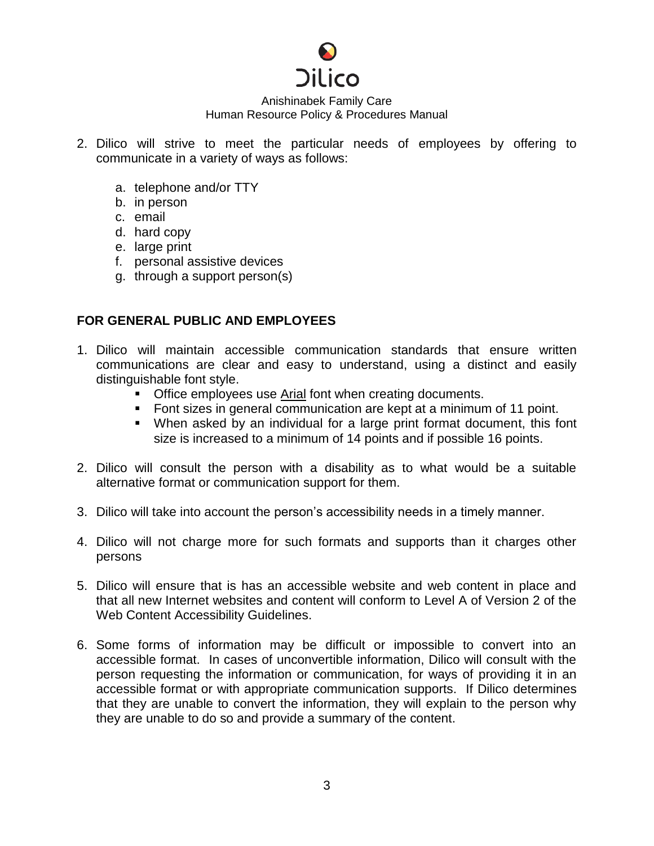

- 2. Dilico will strive to meet the particular needs of employees by offering to communicate in a variety of ways as follows:
	- a. telephone and/or TTY
	- b. in person
	- c. email
	- d. hard copy
	- e. large print
	- f. personal assistive devices
	- g. through a support person(s)

### **FOR GENERAL PUBLIC AND EMPLOYEES**

- 1. Dilico will maintain accessible communication standards that ensure written communications are clear and easy to understand, using a distinct and easily distinguishable font style.
	- Office employees use Arial font when creating documents.
	- Font sizes in general communication are kept at a minimum of 11 point.
	- When asked by an individual for a large print format document, this font size is increased to a minimum of 14 points and if possible 16 points.
- 2. Dilico will consult the person with a disability as to what would be a suitable alternative format or communication support for them.
- 3. Dilico will take into account the person's accessibility needs in a timely manner.
- 4. Dilico will not charge more for such formats and supports than it charges other persons
- 5. Dilico will ensure that is has an accessible website and web content in place and that all new Internet websites and content will conform to Level A of Version 2 of the Web Content Accessibility Guidelines.
- 6. Some forms of information may be difficult or impossible to convert into an accessible format. In cases of unconvertible information, Dilico will consult with the person requesting the information or communication, for ways of providing it in an accessible format or with appropriate communication supports. If Dilico determines that they are unable to convert the information, they will explain to the person why they are unable to do so and provide a summary of the content.